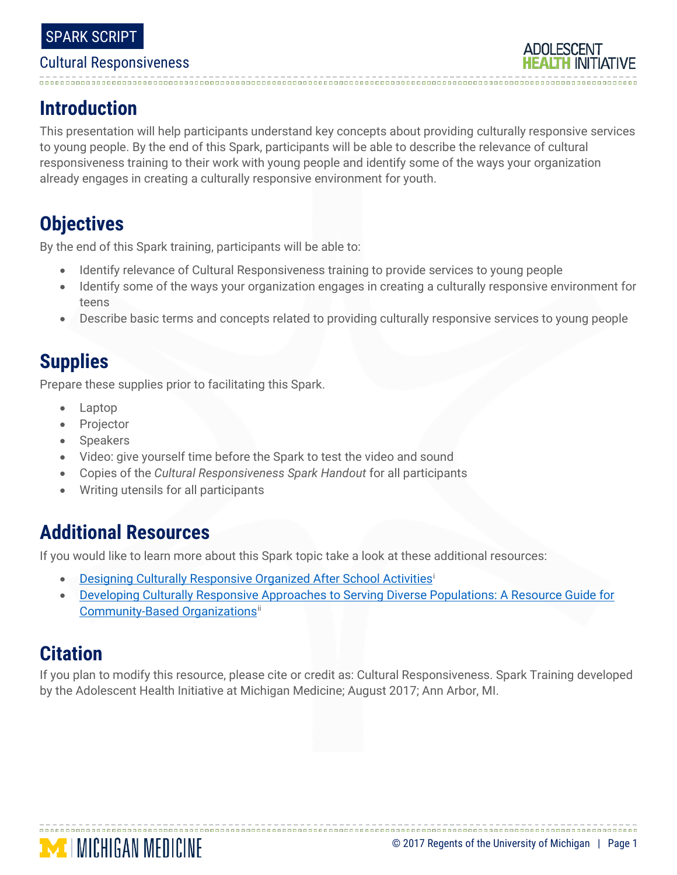# 

## **Introduction**

This presentation will help participants understand key concepts about providing culturally responsive services to young people. By the end of this Spark, participants will be able to describe the relevance of cultural responsiveness training to their work with young people and identify some of the ways your organization already engages in creating a culturally responsive environment for youth.

## **Objectives**

By the end of this Spark training, participants will be able to:

- Identify relevance of Cultural Responsiveness training to provide services to young people
- Identify some of the ways your organization engages in creating a culturally responsive environment for teens
- Describe basic terms and concepts related to providing culturally responsive services to young people

## **Supplies**

Prepare these supplies prior to facilitating this Spark.

- Laptop
- **Projector**
- **Speakers**
- Video: give yourself time before the Spark to test the video and sound
- Copies of the *Cultural Responsiveness Spark Handout* for all participants
- Writing utensils for all participants

## **Additional Resources**

If you would like to learn more about this Spark topic take a look at these additional resources:

- [Designing Culturally Responsive Organized After School Activitiesi](http://journals.sagepub.com/doi/pdf/10.1177/0743558416666169)
- [Developing Culturally Responsive Approaches to Serving Diverse Populations: A Resource Guide for](http://www.hispanicresearchcenter.org/wp-content/uploads/2018/04/Cultural-Competence-Guide-V2.pdf)  Commun[i](#page-4-1)ty-Based Organizations<sup>ii</sup>

## **Citation**

If you plan to modify this resource, please cite or credit as: Cultural Responsiveness. Spark Training developed by the Adolescent Health Initiative at Michigan Medicine; August 2017; Ann Arbor, MI.

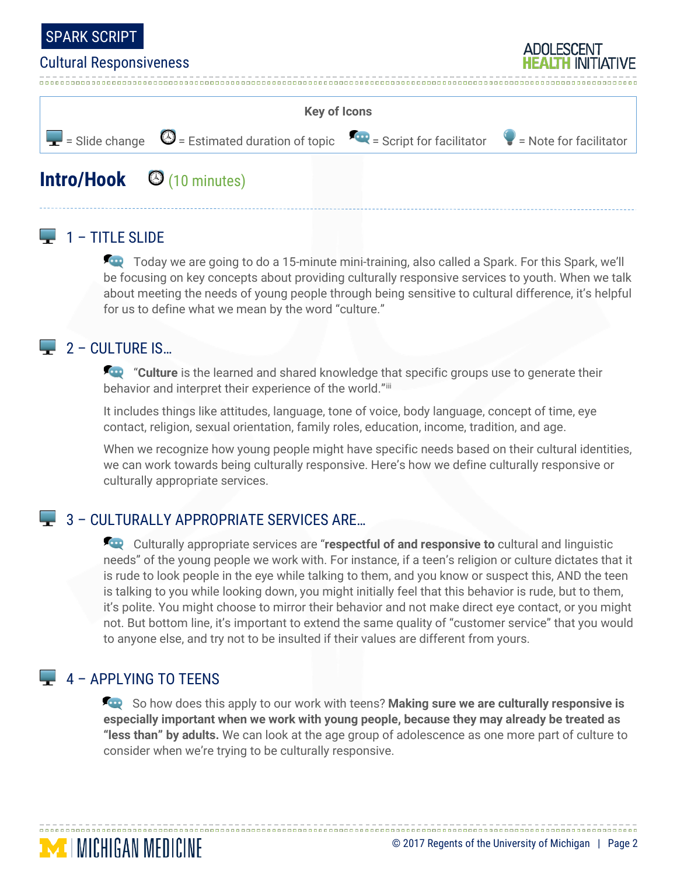



## **Intro/Hook** (10 minutes)

### $\Box$  1 – TITLE SLIDE

Today we are going to do a 15-minute mini-training, also called a Spark. For this Spark, we'll be focusing on key concepts about providing culturally responsive services to youth. When we talk about meeting the needs of young people through being sensitive to cultural difference, it's helpful for us to define what we mean by the word "culture."

### $\Box$  2 – CULTURE IS...

**For** "Culture is the learned and shared knowledge that specific groups use to generate their behavior and interpret their experience of the world."[iii](#page-4-2)

It includes things like attitudes, language, tone of voice, body language, concept of time, eye contact, religion, sexual orientation, family roles, education, income, tradition, and age.

When we recognize how young people might have specific needs based on their cultural identities, we can work towards being culturally responsive. Here's how we define culturally responsive or culturally appropriate services.

### 3 – CULTURALLY APPROPRIATE SERVICES ARE…

Culturally appropriate services are "**respectful of and responsive to** cultural and linguistic needs" of the young people we work with. For instance, if a teen's religion or culture dictates that it is rude to look people in the eye while talking to them, and you know or suspect this, AND the teen is talking to you while looking down, you might initially feel that this behavior is rude, but to them, it's polite. You might choose to mirror their behavior and not make direct eye contact, or you might not. But bottom line, it's important to extend the same quality of "customer service" that you would to anyone else, and try not to be insulted if their values are different from yours.

### 4 – APPLYING TO TEENS

**MENGAN MEDICINE** 

So how does this apply to our work with teens? **Making sure we are culturally responsive is especially important when we work with young people, because they may already be treated as "less than" by adults.** We can look at the age group of adolescence as one more part of culture to consider when we're trying to be culturally responsive.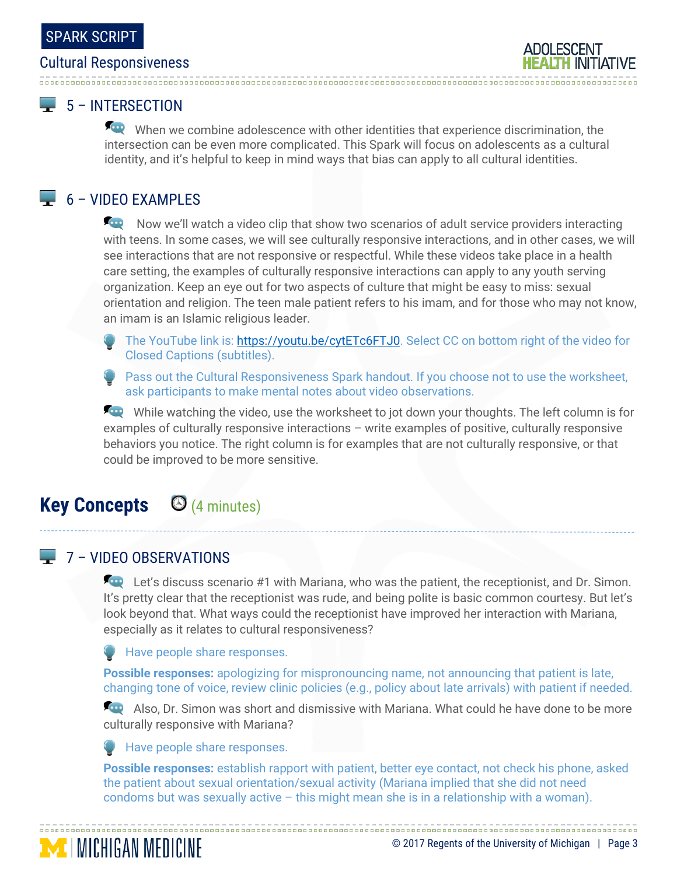# 

### 5 – INTERSECTION

When we combine adolescence with other identities that experience discrimination, the intersection can be even more complicated. This Spark will focus on adolescents as a cultural identity, and it's helpful to keep in mind ways that bias can apply to all cultural identities.

### $\Box$  6 – VIDEO EXAMPLES

Now we'll watch a video clip that show two scenarios of adult service providers interacting with teens. In some cases, we will see culturally responsive interactions, and in other cases, we will see interactions that are not responsive or respectful. While these videos take place in a health care setting, the examples of culturally responsive interactions can apply to any youth serving organization. Keep an eye out for two aspects of culture that might be easy to miss: sexual orientation and religion. The teen male patient refers to his imam, and for those who may not know, an imam is an Islamic religious leader.

- The YouTube link is: [https://youtu.be/cytETc6FTJ0.](https://youtu.be/cytETc6FTJ0) Select CC on bottom right of the video for Closed Captions (subtitles).
- Pass out the Cultural Responsiveness Spark handout. If you choose not to use the worksheet, ask participants to make mental notes about video observations.

While watching the video, use the worksheet to jot down your thoughts. The left column is for examples of culturally responsive interactions – write examples of positive, culturally responsive behaviors you notice. The right column is for examples that are not culturally responsive, or that could be improved to be more sensitive.

### **Key Concepts** (4 minutes)

### $\Box$  7 – VIDEO OBSERVATIONS

**MICHIGAN MEDICINE** 

Let's discuss scenario #1 with Mariana, who was the patient, the receptionist, and Dr. Simon. It's pretty clear that the receptionist was rude, and being polite is basic common courtesy. But let's look beyond that. What ways could the receptionist have improved her interaction with Mariana, especially as it relates to cultural responsiveness?

**Have people share responses.** 

**Possible responses:** apologizing for mispronouncing name, not announcing that patient is late, changing tone of voice, review clinic policies (e.g., policy about late arrivals) with patient if needed.

Also, Dr. Simon was short and dismissive with Mariana. What could he have done to be more culturally responsive with Mariana?

Have people share responses.

**Possible responses:** establish rapport with patient, better eye contact, not check his phone, asked the patient about sexual orientation/sexual activity (Mariana implied that she did not need condoms but was sexually active – this might mean she is in a relationship with a woman).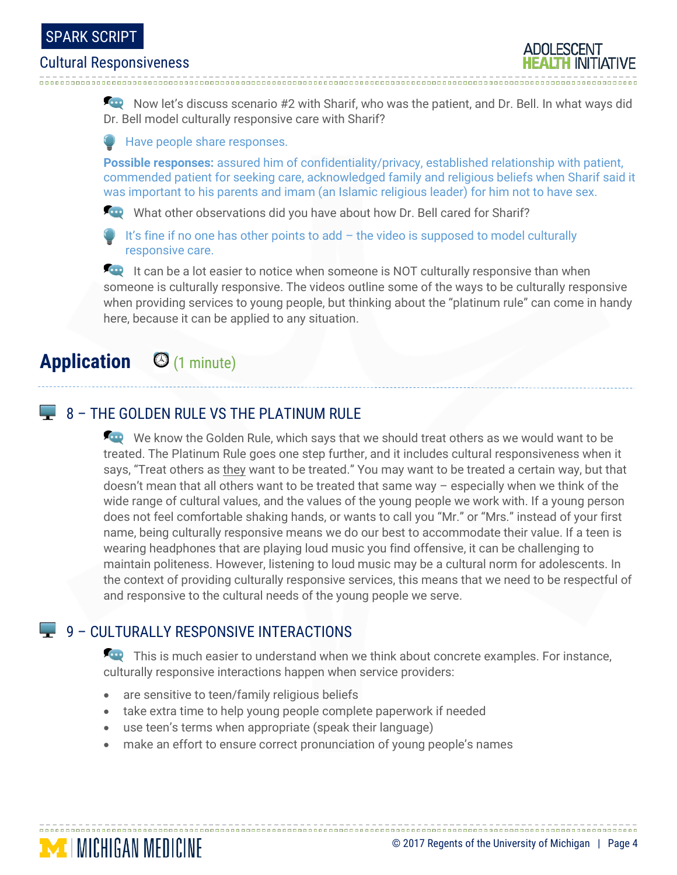

Now let's discuss scenario #2 with Sharif, who was the patient, and Dr. Bell. In what ways did Dr. Bell model culturally responsive care with Sharif?

**Have people share responses.** 

**Possible responses:** assured him of confidentiality/privacy, established relationship with patient, commended patient for seeking care, acknowledged family and religious beliefs when Sharif said it was important to his parents and imam (an Islamic religious leader) for him not to have sex.

What other observations did you have about how Dr. Bell cared for Sharif?

It's fine if no one has other points to  $add - the$  video is supposed to model culturally responsive care.

**It can be a lot easier to notice when someone is NOT culturally responsive than when** someone is culturally responsive. The videos outline some of the ways to be culturally responsive when providing services to young people, but thinking about the "platinum rule" can come in handy here, because it can be applied to any situation.

## **Application** (1 minute)

**MINICHIGAN MEDICINE** 

### **8 - THE GOLDEN RULE VS THE PLATINUM RULE**

We know the Golden Rule, which says that we should treat others as we would want to be treated. The Platinum Rule goes one step further, and it includes cultural responsiveness when it says, "Treat others as they want to be treated." You may want to be treated a certain way, but that doesn't mean that all others want to be treated that same way – especially when we think of the wide range of cultural values, and the values of the young people we work with. If a young person does not feel comfortable shaking hands, or wants to call you "Mr." or "Mrs." instead of your first name, being culturally responsive means we do our best to accommodate their value. If a teen is wearing headphones that are playing loud music you find offensive, it can be challenging to maintain politeness. However, listening to loud music may be a cultural norm for adolescents. In the context of providing culturally responsive services, this means that we need to be respectful of and responsive to the cultural needs of the young people we serve.

### 9 – CULTURALLY RESPONSIVE INTERACTIONS

This is much easier to understand when we think about concrete examples. For instance, culturally responsive interactions happen when service providers:

- are sensitive to teen/family religious beliefs
- take extra time to help young people complete paperwork if needed
- use teen's terms when appropriate (speak their language)
- make an effort to ensure correct pronunciation of young people's names